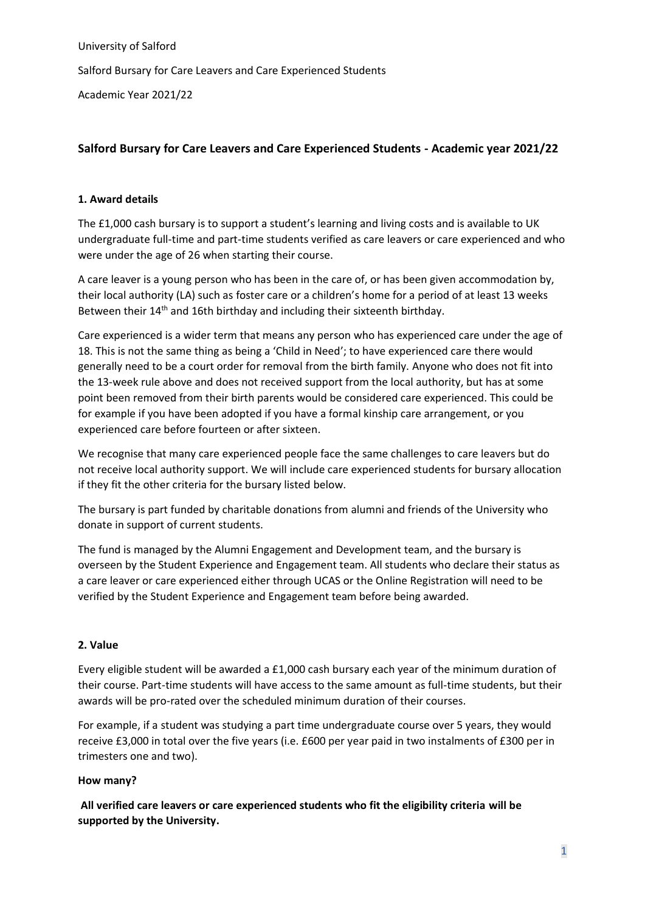University of Salford Salford Bursary for Care Leavers and Care Experienced Students Academic Year 2021/22

# **Salford Bursary for Care Leavers and Care Experienced Students - Academic year 2021/22**

## **1. Award details**

The £1,000 cash bursary is to support a student's learning and living costs and is available to UK undergraduate full-time and part-time students verified as care leavers or care experienced and who were under the age of 26 when starting their course.

A care leaver is a young person who has been in the care of, or has been given accommodation by, their local authority (LA) such as foster care or a children's home for a period of at least 13 weeks Between their 14<sup>th</sup> and 16th birthday and including their sixteenth birthday.

Care experienced is a wider term that means any person who has experienced care under the age of 18. This is not the same thing as being a 'Child in Need'; to have experienced care there would generally need to be a court order for removal from the birth family. Anyone who does not fit into the 13-week rule above and does not received support from the local authority, but has at some point been removed from their birth parents would be considered care experienced. This could be for example if you have been adopted if you have a formal kinship care arrangement, or you experienced care before fourteen or after sixteen.

We recognise that many care experienced people face the same challenges to care leavers but do not receive local authority support. We will include care experienced students for bursary allocation if they fit the other criteria for the bursary listed below.

The bursary is part funded by charitable donations from alumni and friends of the University who donate in support of current students.

The fund is managed by the Alumni Engagement and Development team, and the bursary is overseen by the Student Experience and Engagement team. All students who declare their status as a care leaver or care experienced either through UCAS or the Online Registration will need to be verified by the Student Experience and Engagement team before being awarded.

### **2. Value**

Every eligible student will be awarded a £1,000 cash bursary each year of the minimum duration of their course. Part-time students will have access to the same amount as full-time students, but their awards will be pro-rated over the scheduled minimum duration of their courses.

For example, if a student was studying a part time undergraduate course over 5 years, they would receive £3,000 in total over the five years (i.e. £600 per year paid in two instalments of £300 per in trimesters one and two).

### **How many?**

**All verified care leavers or care experienced students who fit the eligibility criteria will be supported by the University.**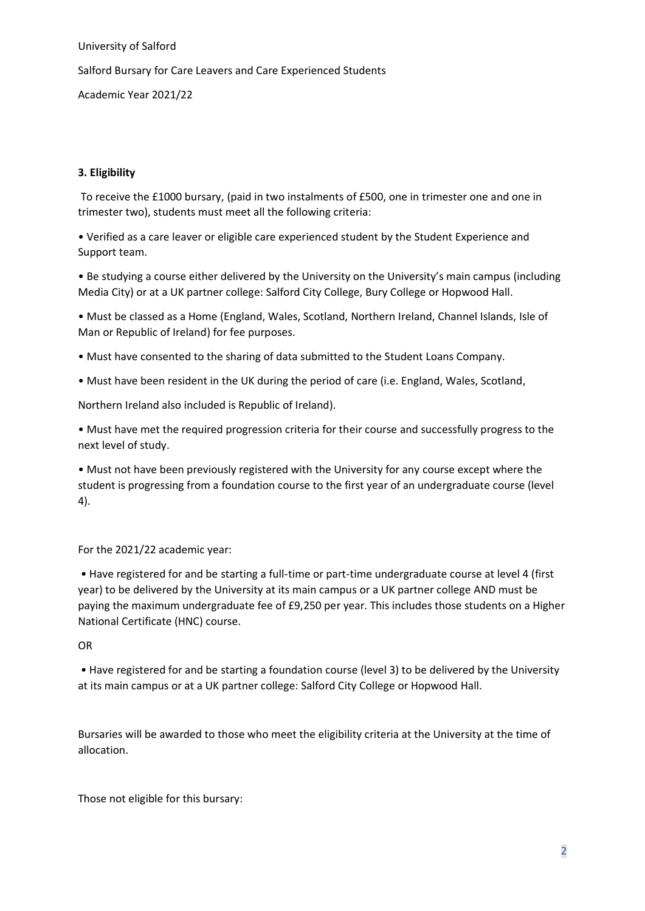University of Salford

Salford Bursary for Care Leavers and Care Experienced Students

Academic Year 2021/22

### **3. Eligibility**

To receive the £1000 bursary, (paid in two instalments of £500, one in trimester one and one in trimester two), students must meet all the following criteria:

• Verified as a care leaver or eligible care experienced student by the Student Experience and Support team.

• Be studying a course either delivered by the University on the University's main campus (including Media City) or at a UK partner college: Salford City College, Bury College or Hopwood Hall.

• Must be classed as a Home (England, Wales, Scotland, Northern Ireland, Channel Islands, Isle of Man or Republic of Ireland) for fee purposes.

• Must have consented to the sharing of data submitted to the Student Loans Company.

• Must have been resident in the UK during the period of care (i.e. England, Wales, Scotland,

Northern Ireland also included is Republic of Ireland).

• Must have met the required progression criteria for their course and successfully progress to the next level of study.

• Must not have been previously registered with the University for any course except where the student is progressing from a foundation course to the first year of an undergraduate course (level 4).

For the 2021/22 academic year:

• Have registered for and be starting a full-time or part-time undergraduate course at level 4 (first year) to be delivered by the University at its main campus or a UK partner college AND must be paying the maximum undergraduate fee of £9,250 per year. This includes those students on a Higher National Certificate (HNC) course.

#### OR

• Have registered for and be starting a foundation course (level 3) to be delivered by the University at its main campus or at a UK partner college: Salford City College or Hopwood Hall.

Bursaries will be awarded to those who meet the eligibility criteria at the University at the time of allocation.

Those not eligible for this bursary: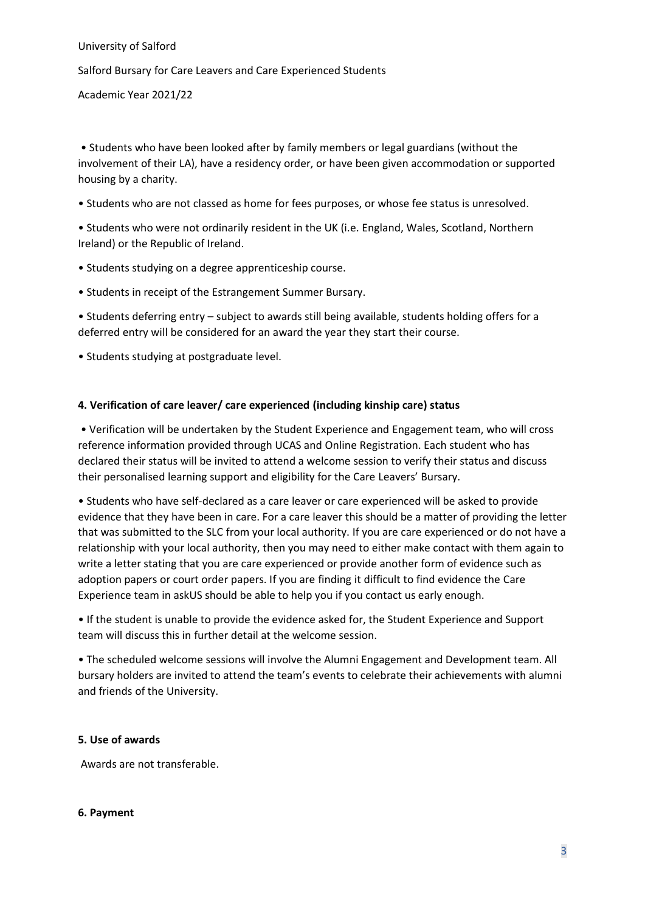University of Salford Salford Bursary for Care Leavers and Care Experienced Students Academic Year 2021/22

• Students who have been looked after by family members or legal guardians (without the involvement of their LA), have a residency order, or have been given accommodation or supported housing by a charity.

• Students who are not classed as home for fees purposes, or whose fee status is unresolved.

• Students who were not ordinarily resident in the UK (i.e. England, Wales, Scotland, Northern Ireland) or the Republic of Ireland.

- Students studying on a degree apprenticeship course.
- Students in receipt of the Estrangement Summer Bursary.

• Students deferring entry – subject to awards still being available, students holding offers for a deferred entry will be considered for an award the year they start their course.

• Students studying at postgraduate level.

### **4. Verification of care leaver/ care experienced (including kinship care) status**

• Verification will be undertaken by the Student Experience and Engagement team, who will cross reference information provided through UCAS and Online Registration. Each student who has declared their status will be invited to attend a welcome session to verify their status and discuss their personalised learning support and eligibility for the Care Leavers' Bursary.

• Students who have self-declared as a care leaver or care experienced will be asked to provide evidence that they have been in care. For a care leaver this should be a matter of providing the letter that was submitted to the SLC from your local authority. If you are care experienced or do not have a relationship with your local authority, then you may need to either make contact with them again to write a letter stating that you are care experienced or provide another form of evidence such as adoption papers or court order papers. If you are finding it difficult to find evidence the Care Experience team in askUS should be able to help you if you contact us early enough.

• If the student is unable to provide the evidence asked for, the Student Experience and Support team will discuss this in further detail at the welcome session.

• The scheduled welcome sessions will involve the Alumni Engagement and Development team. All bursary holders are invited to attend the team's events to celebrate their achievements with alumni and friends of the University.

#### **5. Use of awards**

Awards are not transferable.

#### **6. Payment**